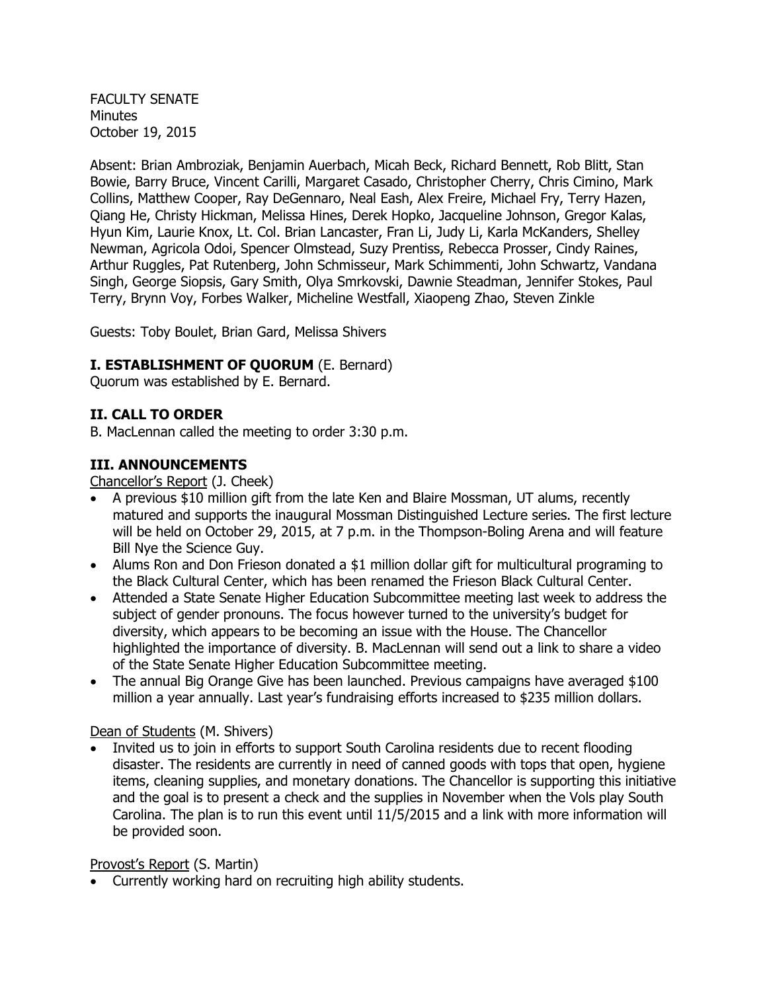FACULTY SENATE **Minutes** October 19, 2015

Absent: Brian Ambroziak, Benjamin Auerbach, Micah Beck, Richard Bennett, Rob Blitt, Stan Bowie, Barry Bruce, Vincent Carilli, Margaret Casado, Christopher Cherry, Chris Cimino, Mark Collins, Matthew Cooper, Ray DeGennaro, Neal Eash, Alex Freire, Michael Fry, Terry Hazen, Qiang He, Christy Hickman, Melissa Hines, Derek Hopko, Jacqueline Johnson, Gregor Kalas, Hyun Kim, Laurie Knox, Lt. Col. Brian Lancaster, Fran Li, Judy Li, Karla McKanders, Shelley Newman, Agricola Odoi, Spencer Olmstead, Suzy Prentiss, Rebecca Prosser, Cindy Raines, Arthur Ruggles, Pat Rutenberg, John Schmisseur, Mark Schimmenti, John Schwartz, Vandana Singh, George Siopsis, Gary Smith, Olya Smrkovski, Dawnie Steadman, Jennifer Stokes, Paul Terry, Brynn Voy, Forbes Walker, Micheline Westfall, Xiaopeng Zhao, Steven Zinkle

Guests: Toby Boulet, Brian Gard, Melissa Shivers

### **I. ESTABLISHMENT OF QUORUM** (E. Bernard)

Quorum was established by E. Bernard.

### **II. CALL TO ORDER**

B. MacLennan called the meeting to order 3:30 p.m.

### **III. ANNOUNCEMENTS**

Chancellor's Report (J. Cheek)

- A previous \$10 million gift from the late Ken and Blaire Mossman, UT alums, recently matured and supports the inaugural Mossman Distinguished Lecture series. The first lecture will be held on October 29, 2015, at 7 p.m. in the Thompson-Boling Arena and will feature Bill Nye the Science Guy.
- Alums Ron and Don Frieson donated a \$1 million dollar gift for multicultural programing to the Black Cultural Center, which has been renamed the Frieson Black Cultural Center.
- Attended a State Senate Higher Education Subcommittee meeting last week to address the subject of gender pronouns. The focus however turned to the university's budget for diversity, which appears to be becoming an issue with the House. The Chancellor highlighted the importance of diversity. B. MacLennan will send out a link to share a video of the State Senate Higher Education Subcommittee meeting.
- The annual Big Orange Give has been launched. Previous campaigns have averaged \$100 million a year annually. Last year's fundraising efforts increased to \$235 million dollars.

#### Dean of Students (M. Shivers)

 Invited us to join in efforts to support South Carolina residents due to recent flooding disaster. The residents are currently in need of canned goods with tops that open, hygiene items, cleaning supplies, and monetary donations. The Chancellor is supporting this initiative and the goal is to present a check and the supplies in November when the Vols play South Carolina. The plan is to run this event until 11/5/2015 and a link with more information will be provided soon.

#### Provost's Report (S. Martin)

Currently working hard on recruiting high ability students.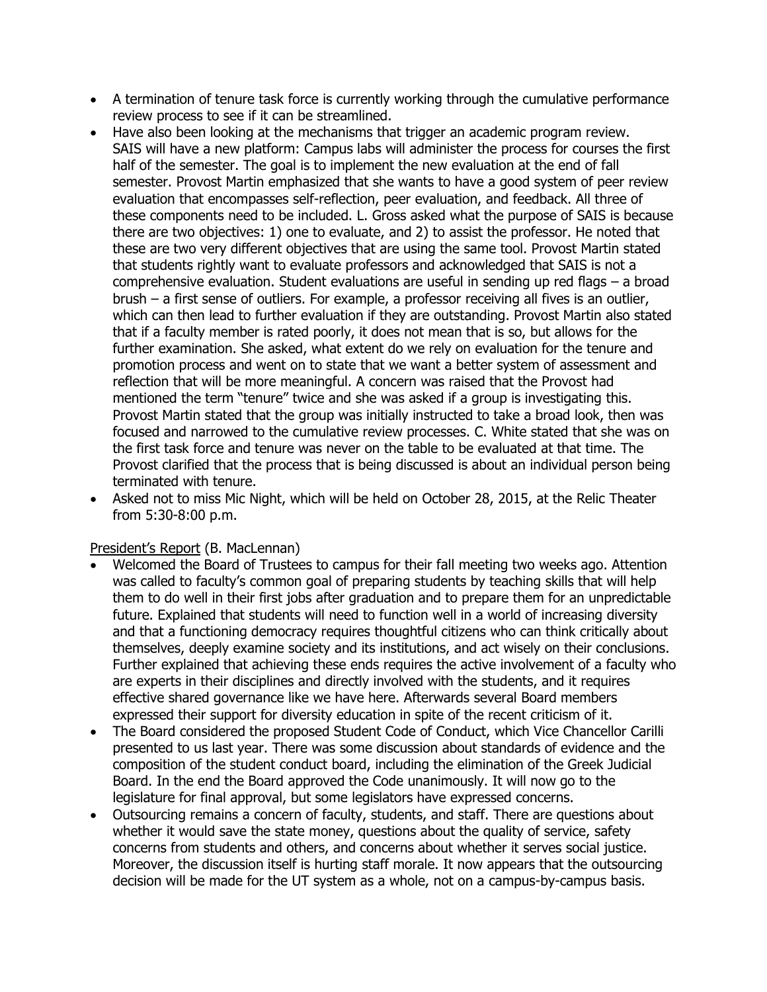- A termination of tenure task force is currently working through the cumulative performance review process to see if it can be streamlined.
- Have also been looking at the mechanisms that trigger an academic program review. SAIS will have a new platform: Campus labs will administer the process for courses the first half of the semester. The goal is to implement the new evaluation at the end of fall semester. Provost Martin emphasized that she wants to have a good system of peer review evaluation that encompasses self-reflection, peer evaluation, and feedback. All three of these components need to be included. L. Gross asked what the purpose of SAIS is because there are two objectives: 1) one to evaluate, and 2) to assist the professor. He noted that these are two very different objectives that are using the same tool. Provost Martin stated that students rightly want to evaluate professors and acknowledged that SAIS is not a comprehensive evaluation. Student evaluations are useful in sending up red flags – a broad brush – a first sense of outliers. For example, a professor receiving all fives is an outlier, which can then lead to further evaluation if they are outstanding. Provost Martin also stated that if a faculty member is rated poorly, it does not mean that is so, but allows for the further examination. She asked, what extent do we rely on evaluation for the tenure and promotion process and went on to state that we want a better system of assessment and reflection that will be more meaningful. A concern was raised that the Provost had mentioned the term "tenure" twice and she was asked if a group is investigating this. Provost Martin stated that the group was initially instructed to take a broad look, then was focused and narrowed to the cumulative review processes. C. White stated that she was on the first task force and tenure was never on the table to be evaluated at that time. The Provost clarified that the process that is being discussed is about an individual person being terminated with tenure.
- Asked not to miss Mic Night, which will be held on October 28, 2015, at the Relic Theater from 5:30-8:00 p.m.

#### President's Report (B. MacLennan)

- Welcomed the Board of Trustees to campus for their fall meeting two weeks ago. Attention was called to faculty's common goal of preparing students by teaching skills that will help them to do well in their first jobs after graduation and to prepare them for an unpredictable future. Explained that students will need to function well in a world of increasing diversity and that a functioning democracy requires thoughtful citizens who can think critically about themselves, deeply examine society and its institutions, and act wisely on their conclusions. Further explained that achieving these ends requires the active involvement of a faculty who are experts in their disciplines and directly involved with the students, and it requires effective shared governance like we have here. Afterwards several Board members expressed their support for diversity education in spite of the recent criticism of it.
- The Board considered the proposed Student Code of Conduct, which Vice Chancellor Carilli presented to us last year. There was some discussion about standards of evidence and the composition of the student conduct board, including the elimination of the Greek Judicial Board. In the end the Board approved the Code unanimously. It will now go to the legislature for final approval, but some legislators have expressed concerns.
- Outsourcing remains a concern of faculty, students, and staff. There are questions about whether it would save the state money, questions about the quality of service, safety concerns from students and others, and concerns about whether it serves social justice. Moreover, the discussion itself is hurting staff morale. It now appears that the outsourcing decision will be made for the UT system as a whole, not on a campus-by-campus basis.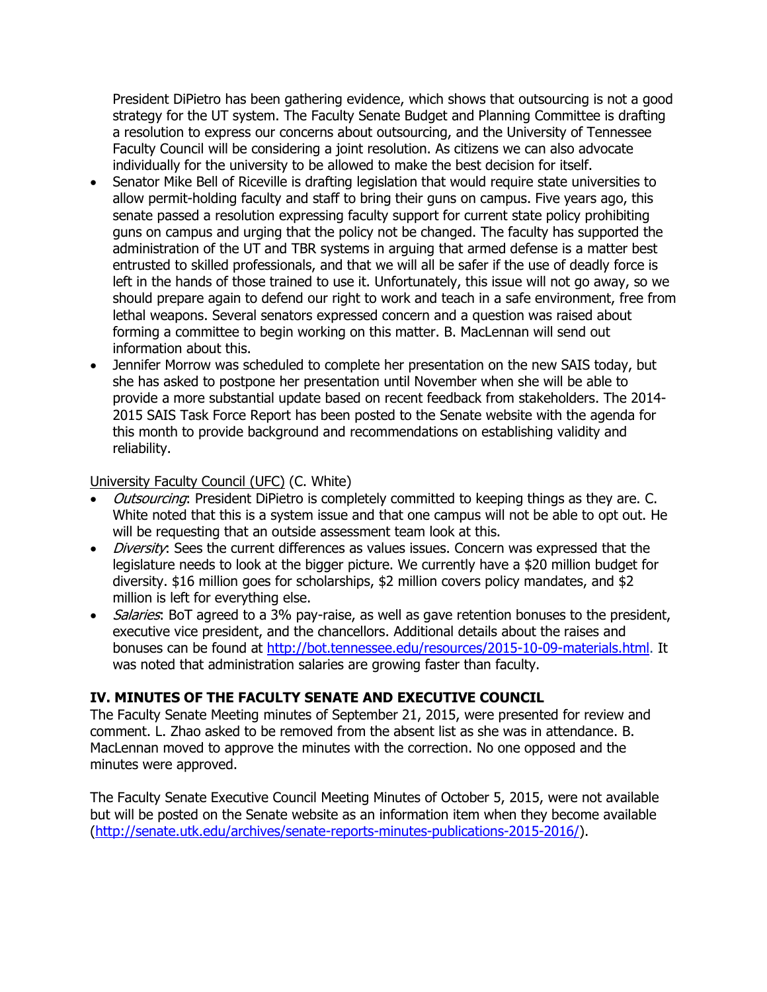President DiPietro has been gathering evidence, which shows that outsourcing is not a good strategy for the UT system. The Faculty Senate Budget and Planning Committee is drafting a resolution to express our concerns about outsourcing, and the University of Tennessee Faculty Council will be considering a joint resolution. As citizens we can also advocate individually for the university to be allowed to make the best decision for itself.

- Senator Mike Bell of Riceville is drafting legislation that would require state universities to allow permit-holding faculty and staff to bring their guns on campus. Five years ago, this senate passed a resolution expressing faculty support for current state policy prohibiting guns on campus and urging that the policy not be changed. The faculty has supported the administration of the UT and TBR systems in arguing that armed defense is a matter best entrusted to skilled professionals, and that we will all be safer if the use of deadly force is left in the hands of those trained to use it. Unfortunately, this issue will not go away, so we should prepare again to defend our right to work and teach in a safe environment, free from lethal weapons. Several senators expressed concern and a question was raised about forming a committee to begin working on this matter. B. MacLennan will send out information about this.
- Jennifer Morrow was scheduled to complete her presentation on the new SAIS today, but she has asked to postpone her presentation until November when she will be able to provide a more substantial update based on recent feedback from stakeholders. The 2014- 2015 SAIS Task Force Report has been posted to the Senate website with the agenda for this month to provide background and recommendations on establishing validity and reliability.

### University Faculty Council (UFC) (C. White)

- Outsourcing: President DiPietro is completely committed to keeping things as they are. C. White noted that this is a system issue and that one campus will not be able to opt out. He will be requesting that an outside assessment team look at this.
- *Diversity*: Sees the current differences as values issues. Concern was expressed that the legislature needs to look at the bigger picture. We currently have a \$20 million budget for diversity. \$16 million goes for scholarships, \$2 million covers policy mandates, and \$2 million is left for everything else.
- *Salaries*: BoT agreed to a 3% pay-raise, as well as gave retention bonuses to the president, executive vice president, and the chancellors. Additional details about the raises and bonuses can be found at [http://bot.tennessee.edu/resources/2015-10-09-materials.html.](http://bot.tennessee.edu/resources/2015-10-09-materials.html) It was noted that administration salaries are growing faster than faculty.

## **IV. MINUTES OF THE FACULTY SENATE AND EXECUTIVE COUNCIL**

The Faculty Senate Meeting minutes of September 21, 2015, were presented for review and comment. L. Zhao asked to be removed from the absent list as she was in attendance. B. MacLennan moved to approve the minutes with the correction. No one opposed and the minutes were approved.

The Faculty Senate Executive Council Meeting Minutes of October 5, 2015, were not available but will be posted on the Senate website as an information item when they become available [\(http://senate.utk.edu/archives/senate-reports-minutes-publications-2015-2016/\)](http://senate.utk.edu/archives/senate-reports-minutes-publications-2015-2016/).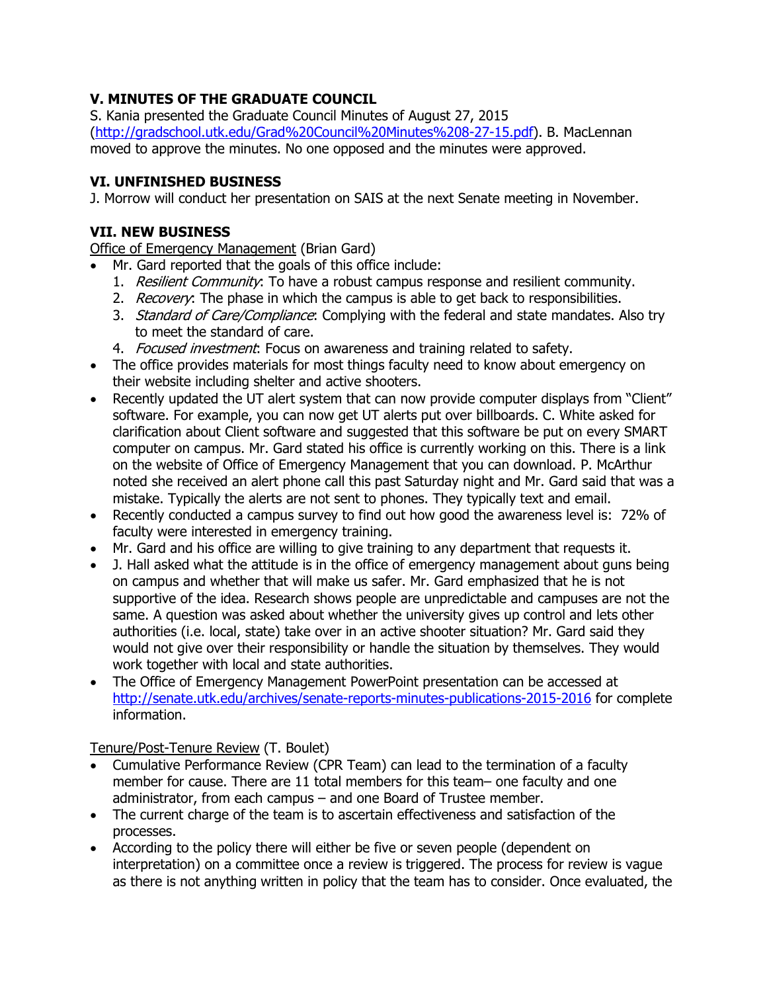# **V. MINUTES OF THE GRADUATE COUNCIL**

S. Kania presented the Graduate Council Minutes of August 27, 2015 [\(http://gradschool.utk.edu/Grad%20Council%20Minutes%208-27-15.pdf\)](http://gradschool.utk.edu/Grad%20Council%20Minutes%208-27-15.pdf). B. MacLennan moved to approve the minutes. No one opposed and the minutes were approved.

# **VI. UNFINISHED BUSINESS**

J. Morrow will conduct her presentation on SAIS at the next Senate meeting in November.

# **VII. NEW BUSINESS**

Office of Emergency Management (Brian Gard)

- Mr. Gard reported that the goals of this office include:
	- 1. Resilient Community: To have a robust campus response and resilient community.
	- 2. Recovery: The phase in which the campus is able to get back to responsibilities.
	- 3. Standard of Care/Compliance: Complying with the federal and state mandates. Also try to meet the standard of care.
	- 4. Focused investment. Focus on awareness and training related to safety.
- The office provides materials for most things faculty need to know about emergency on their website including shelter and active shooters.
- Recently updated the UT alert system that can now provide computer displays from "Client" software. For example, you can now get UT alerts put over billboards. C. White asked for clarification about Client software and suggested that this software be put on every SMART computer on campus. Mr. Gard stated his office is currently working on this. There is a link on the website of Office of Emergency Management that you can download. P. McArthur noted she received an alert phone call this past Saturday night and Mr. Gard said that was a mistake. Typically the alerts are not sent to phones. They typically text and email.
- Recently conducted a campus survey to find out how good the awareness level is: 72% of faculty were interested in emergency training.
- Mr. Gard and his office are willing to give training to any department that requests it.
- J. Hall asked what the attitude is in the office of emergency management about guns being on campus and whether that will make us safer. Mr. Gard emphasized that he is not supportive of the idea. Research shows people are unpredictable and campuses are not the same. A question was asked about whether the university gives up control and lets other authorities (i.e. local, state) take over in an active shooter situation? Mr. Gard said they would not give over their responsibility or handle the situation by themselves. They would work together with local and state authorities.
- The Office of Emergency Management PowerPoint presentation can be accessed at <http://senate.utk.edu/archives/senate-reports-minutes-publications-2015-2016> for complete information.

## Tenure/Post-Tenure Review (T. Boulet)

- Cumulative Performance Review (CPR Team) can lead to the termination of a faculty member for cause. There are 11 total members for this team– one faculty and one administrator, from each campus – and one Board of Trustee member.
- The current charge of the team is to ascertain effectiveness and satisfaction of the processes.
- According to the policy there will either be five or seven people (dependent on interpretation) on a committee once a review is triggered. The process for review is vague as there is not anything written in policy that the team has to consider. Once evaluated, the